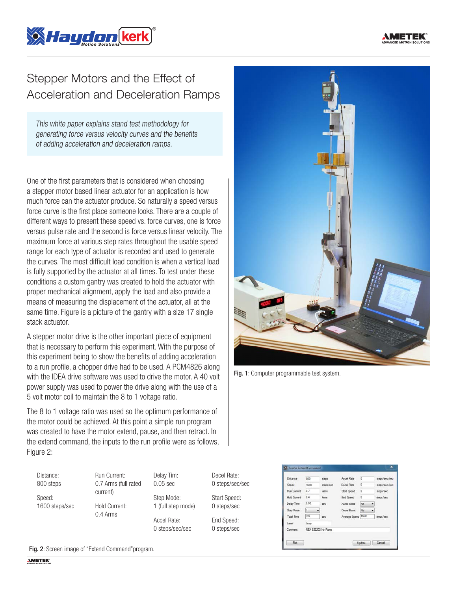

## Stepper Motors and the Effect of Acceleration and Deceleration Ramps

This white paper explains stand test methodology for generating force versus velocity curves and the benefits of adding acceleration and deceleration ramps.

One of the first parameters that is considered when choosing a stepper motor based linear actuator for an application is how much force can the actuator produce. So naturally a speed versus force curve is the first place someone looks. There are a couple of different ways to present these speed vs. force curves, one is force versus pulse rate and the second is force versus linear velocity. The maximum force at various step rates throughout the usable speed range for each type of actuator is recorded and used to generate the curves. The most difficult load condition is when a vertical load is fully supported by the actuator at all times. To test under these conditions a custom gantry was created to hold the actuator with proper mechanical alignment, apply the load and also provide a means of measuring the displacement of the actuator, all at the same time. Figure is a picture of the gantry with a size 17 single stack actuator.

A stepper motor drive is the other important piece of equipment that is necessary to perform this experiment. With the purpose of this experiment being to show the benefits of adding acceleration to a run profile, a chopper drive had to be used. A PCM4826 along with the IDEA drive software was used to drive the motor. A 40 volt power supply was used to power the drive along with the use of a 5 volt motor coil to maintain the 8 to 1 voltage ratio.

The 8 to 1 voltage ratio was used so the optimum performance of the motor could be achieved. At this point a simple run program was created to have the motor extend, pause, and then retract. In the extend command, the inputs to the run profile were as follows, Figure 2:

Distance: 800 steps

Speed: 1600 steps/sec 0.7 Arms (full rated current) Hold Current: 0.4 Arms

Run Current:

Delay Tim: 0.05 sec Step Mode: 1 (full step mode)

> Accel Rate: 0 steps/sec/sec

0 steps/sec/sec Start Speed:

0 steps/sec

Decel Rate:

End Speed: 0 steps/sec



Fig. 1: Computer programmable test system.

| Distance            | 800  | steps              | Accel Rate         | ō        | steps/sec/sec |
|---------------------|------|--------------------|--------------------|----------|---------------|
| Speed               | 1600 | steps/sec          | <b>Decel Rate</b>  | o        | steps/sec/sec |
| <b>Run Current</b>  | 0.7  | Arms               | Start Speed        | ø        | steps/sec     |
| <b>Hold Current</b> | 0.4  | Ams                | <b>End Speed</b>   | o        | steps/sec     |
| Delay Time          | 0.05 | sec-               | Accel Boost        | No       |               |
| Step Mode           | İ٦   |                    | <b>Decel Boost</b> | No.<br>٠ |               |
| <b>Total Time</b>   | 0.5  | sec                | Average Speed 1600 |          | steps/sec     |
| Label               | Loop |                    |                    |          |               |
| Comment             |      | REA 822202 No Ramp |                    |          |               |

Fig. 2: Screen image of "Extend Command"program.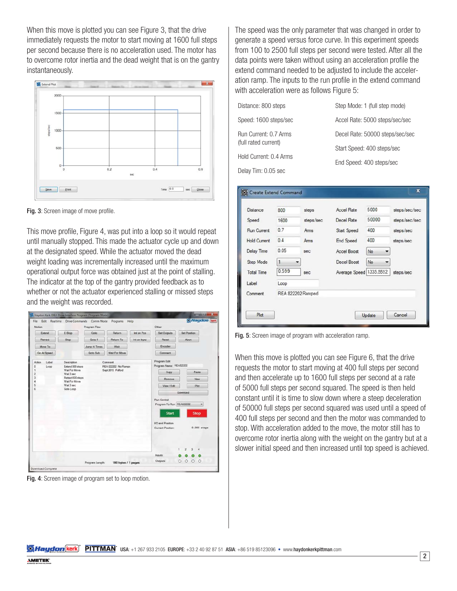When this move is plotted you can see Figure 3, that the drive immediately requests the motor to start moving at 1600 full steps per second because there is no acceleration used. The motor has to overcome rotor inertia and the dead weight that is on the gantry instantaneously.



Fig. 3: Screen image of move profile.

This move profile, Figure 4, was put into a loop so it would repeat until manually stopped. This made the actuator cycle up and down at the designated speed. While the actuator moved the dead weight loading was incrementally increased until the maximum operational output force was obtained just at the point of stalling. The indicator at the top of the gantry provided feedback as to whether or not the actuator experienced stalling or missed steps and the weight was recorded.



Fig. 4: Screen image of program set to loop motion.

The speed was the only parameter that was changed in order to generate a speed versus force curve. In this experiment speeds from 100 to 2500 full steps per second were tested. After all the data points were taken without using an acceleration profile the extend command needed to be adjusted to include the acceleration ramp. The inputs to the run profile in the extend command with acceleration were as follows Figure 5:

| Distance: 800 steps    | Step Mode: 1 (full step mode)   |  |
|------------------------|---------------------------------|--|
| Speed: 1600 steps/sec  | Accel Rate: 5000 steps/sec/sec  |  |
| Run Current: 0.7 Arms  | Decel Rate: 50000 steps/sec/sec |  |
| (full rated current)   | Start Speed: 400 steps/sec      |  |
| Hold Current: 0.4 Arms | End Speed: 400 steps/sec        |  |
| Delay Tim: 0.05 sec    |                                 |  |

| Distance            | 800               | steps     | <b>Accel Rate</b>       | 5000  | steps/sec/sec |  |
|---------------------|-------------------|-----------|-------------------------|-------|---------------|--|
| Speed               | 1600              | steps/sec | Decel Rate              | 50000 | steps/sec/sec |  |
| Run Current         | 0.7               | Arms      | <b>Start Speed</b>      | 400   | steps/sec     |  |
| <b>Hold Current</b> | 0.4               | Arms      | <b>End Speed</b>        | 400   | steps/sec     |  |
| <b>Delay Time</b>   | 0.05              | sec       | Accel Boost             | No    |               |  |
| Step Mode           | 1                 |           | Decel Boost             | No    |               |  |
| <b>Total Time</b>   | 0.599             | sec       | Average Speed 1335.5592 |       | steps/sec     |  |
| Label               | Loop              |           |                         |       |               |  |
| Comment             | REA 822202 Ramped |           |                         |       |               |  |

Fig. 5: Screen image of program with acceleration ramp.

When this move is plotted you can see Figure 6, that the drive requests the motor to start moving at 400 full steps per second and then accelerate up to 1600 full steps per second at a rate of 5000 full steps per second squared. The speed is then held constant until it is time to slow down where a steep deceleration of 50000 full steps per second squared was used until a speed of 400 full steps per second and then the motor was commanded to stop. With acceleration added to the move, the motor still has to overcome rotor inertia along with the weight on the gantry but at a slower initial speed and then increased until top speed is achieved.

**SA Haydon (kerk) PITTMAN** USA: +1 267 933 2105 EUROPE: +33 2 40 92 87 51 ASIA: +86 519 85123096 • www.haydonkerkpittman.com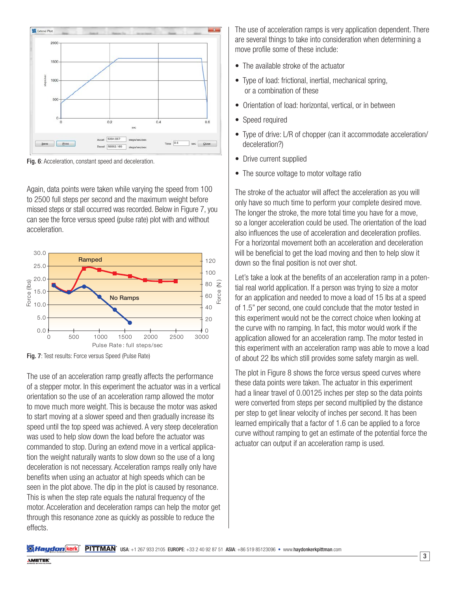

Fig. 6: Acceleration, constant speed and deceleration.

Again, data points were taken while varying the speed from 100 to 2500 full steps per second and the maximum weight before missed steps or stall occurred was recorded. Below in Figure 7, you can see the force versus speed (pulse rate) plot with and without acceleration.



Fig. 7: Test results: Force versus Speed (Pulse Rate)

The use of an acceleration ramp greatly affects the performance of a stepper motor. In this experiment the actuator was in a vertical orientation so the use of an acceleration ramp allowed the motor to move much more weight. This is because the motor was asked to start moving at a slower speed and then gradually increase its speed until the top speed was achieved. A very steep deceleration was used to help slow down the load before the actuator was commanded to stop. During an extend move in a vertical application the weight naturally wants to slow down so the use of a long deceleration is not necessary. Acceleration ramps really only have benefits when using an actuator at high speeds which can be seen in the plot above. The dip in the plot is caused by resonance. This is when the step rate equals the natural frequency of the motor. Acceleration and deceleration ramps can help the motor get through this resonance zone as quickly as possible to reduce the effects.

The use of acceleration ramps is very application dependent. There are several things to take into consideration when determining a move profile some of these include:

- The available stroke of the actuator
- Type of load: frictional, inertial, mechanical spring, or a combination of these
- Orientation of load: horizontal, vertical, or in between
- Speed required
- Type of drive: L/R of chopper (can it accommodate acceleration/ deceleration?)
- Drive current supplied
- The source voltage to motor voltage ratio

The stroke of the actuator will affect the acceleration as you will only have so much time to perform your complete desired move. The longer the stroke, the more total time you have for a move, so a longer acceleration could be used. The orientation of the load also influences the use of acceleration and deceleration profiles. For a horizontal movement both an acceleration and deceleration will be beneficial to get the load moving and then to help slow it down so the final position is not over shot.

Let's take a look at the benefits of an acceleration ramp in a potential real world application. If a person was trying to size a motor for an application and needed to move a load of 15 lbs at a speed of 1.5" per second, one could conclude that the motor tested in this experiment would not be the correct choice when looking at the curve with no ramping. In fact, this motor would work if the application allowed for an acceleration ramp. The motor tested in this experiment with an acceleration ramp was able to move a load of about 22 lbs which still provides some safety margin as well.

The plot in Figure 8 shows the force versus speed curves where these data points were taken. The actuator in this experiment had a linear travel of 0.00125 inches per step so the data points were converted from steps per second multiplied by the distance per step to get linear velocity of inches per second. It has been learned empirically that a factor of 1.6 can be applied to a force curve without ramping to get an estimate of the potential force the actuator can output if an acceleration ramp is used.

**SA Haydon (kerk) PITTMAN** USA: +1 267 933 2105 EUROPE: +33 2 40 92 87 51 ASIA: +86 519 85123096 • www.haydonkerkpittman.com